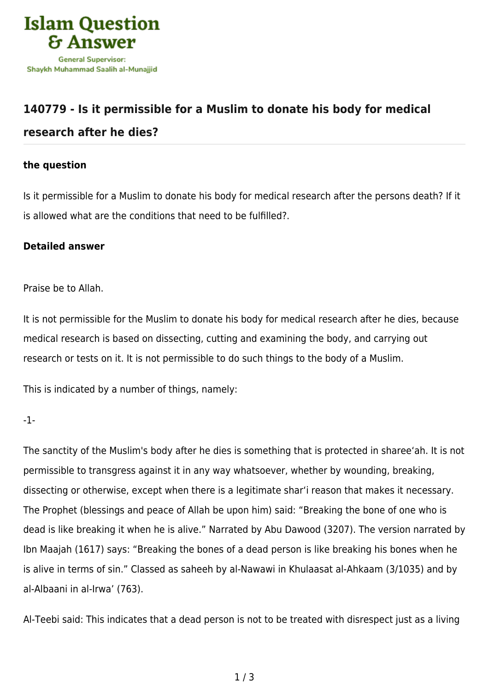

## **[140779 - Is it permissible for a Muslim to donate his body for medical](https://islamqa.com/en/answers/140779/is-it-permissible-for-a-muslim-to-donate-his-body-for-medical-research-after-he-dies) [research after he dies?](https://islamqa.com/en/answers/140779/is-it-permissible-for-a-muslim-to-donate-his-body-for-medical-research-after-he-dies)**

## **the question**

Is it permissible for a Muslim to donate his body for medical research after the persons death? If it is allowed what are the conditions that need to be fulfilled?.

## **Detailed answer**

Praise be to Allah.

It is not permissible for the Muslim to donate his body for medical research after he dies, because medical research is based on dissecting, cutting and examining the body, and carrying out research or tests on it. It is not permissible to do such things to the body of a Muslim.

This is indicated by a number of things, namely:

-1-

The sanctity of the Muslim's body after he dies is something that is protected in sharee'ah. It is not permissible to transgress against it in any way whatsoever, whether by wounding, breaking, dissecting or otherwise, except when there is a legitimate shar'i reason that makes it necessary. The Prophet (blessings and peace of Allah be upon him) said: "Breaking the bone of one who is dead is like breaking it when he is alive." Narrated by Abu Dawood (3207). The version narrated by Ibn Maajah (1617) says: "Breaking the bones of a dead person is like breaking his bones when he is alive in terms of sin." Classed as saheeh by al-Nawawi in Khulaasat al-Ahkaam (3/1035) and by al-Albaani in al-Irwa' (763).

Al-Teebi said: This indicates that a dead person is not to be treated with disrespect just as a living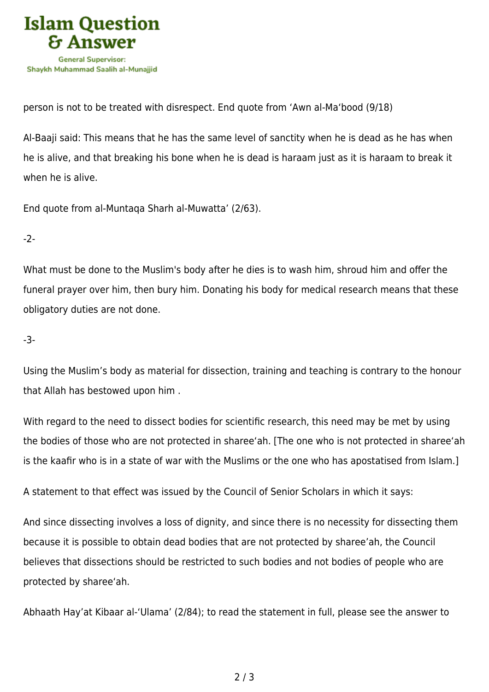

person is not to be treated with disrespect. End quote from 'Awn al-Ma'bood (9/18)

Al-Baaji said: This means that he has the same level of sanctity when he is dead as he has when he is alive, and that breaking his bone when he is dead is haraam just as it is haraam to break it when he is alive.

End quote from al-Muntaqa Sharh al-Muwatta' (2/63).

-2-

What must be done to the Muslim's body after he dies is to wash him, shroud him and offer the funeral prayer over him, then bury him. Donating his body for medical research means that these obligatory duties are not done.

-3-

Using the Muslim's body as material for dissection, training and teaching is contrary to the honour that Allah has bestowed upon him .

With regard to the need to dissect bodies for scientific research, this need may be met by using the bodies of those who are not protected in sharee'ah. [The one who is not protected in sharee'ah is the kaafir who is in a state of war with the Muslims or the one who has apostatised from Islam.]

A statement to that effect was issued by the Council of Senior Scholars in which it says:

And since dissecting involves a loss of dignity, and since there is no necessity for dissecting them because it is possible to obtain dead bodies that are not protected by sharee'ah, the Council believes that dissections should be restricted to such bodies and not bodies of people who are protected by sharee'ah.

Abhaath Hay'at Kibaar al-'Ulama' (2/84); to read the statement in full, please see the answer to